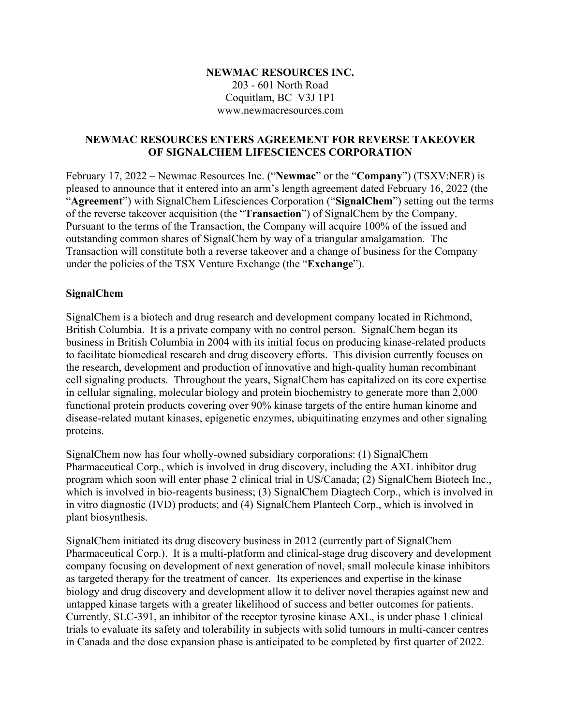#### **NEWMAC RESOURCES INC.**  203 - 601 North Road Coquitlam, BC V3J 1P1 www.newmacresources.com

#### **NEWMAC RESOURCES ENTERS AGREEMENT FOR REVERSE TAKEOVER OF SIGNALCHEM LIFESCIENCES CORPORATION**

February 17, 2022 – Newmac Resources Inc. ("**Newmac**" or the "**Company**") (TSXV:NER) is pleased to announce that it entered into an arm's length agreement dated February 16, 2022 (the "**Agreement**") with SignalChem Lifesciences Corporation ("**SignalChem**") setting out the terms of the reverse takeover acquisition (the "**Transaction**") of SignalChem by the Company. Pursuant to the terms of the Transaction, the Company will acquire 100% of the issued and outstanding common shares of SignalChem by way of a triangular amalgamation. The Transaction will constitute both a reverse takeover and a change of business for the Company under the policies of the TSX Venture Exchange (the "**Exchange**").

#### **SignalChem**

SignalChem is a biotech and drug research and development company located in Richmond, British Columbia. It is a private company with no control person. SignalChem began its business in British Columbia in 2004 with its initial focus on producing kinase-related products to facilitate biomedical research and drug discovery efforts. This division currently focuses on the research, development and production of innovative and high-quality human recombinant cell signaling products. Throughout the years, SignalChem has capitalized on its core expertise in cellular signaling, molecular biology and protein biochemistry to generate more than 2,000 functional protein products covering over 90% kinase targets of the entire human kinome and disease-related mutant kinases, epigenetic enzymes, ubiquitinating enzymes and other signaling proteins.

SignalChem now has four wholly-owned subsidiary corporations: (1) SignalChem Pharmaceutical Corp., which is involved in drug discovery, including the AXL inhibitor drug program which soon will enter phase 2 clinical trial in US/Canada; (2) SignalChem Biotech Inc., which is involved in bio-reagents business; (3) SignalChem Diagtech Corp., which is involved in in vitro diagnostic (IVD) products; and (4) SignalChem Plantech Corp., which is involved in plant biosynthesis.

SignalChem initiated its drug discovery business in 2012 (currently part of SignalChem Pharmaceutical Corp.). It is a multi-platform and clinical-stage drug discovery and development company focusing on development of next generation of novel, small molecule kinase inhibitors as targeted therapy for the treatment of cancer. Its experiences and expertise in the kinase biology and drug discovery and development allow it to deliver novel therapies against new and untapped kinase targets with a greater likelihood of success and better outcomes for patients. Currently, SLC-391, an inhibitor of the receptor tyrosine kinase AXL, is under phase 1 clinical trials to evaluate its safety and tolerability in subjects with solid tumours in multi-cancer centres in Canada and the dose expansion phase is anticipated to be completed by first quarter of 2022.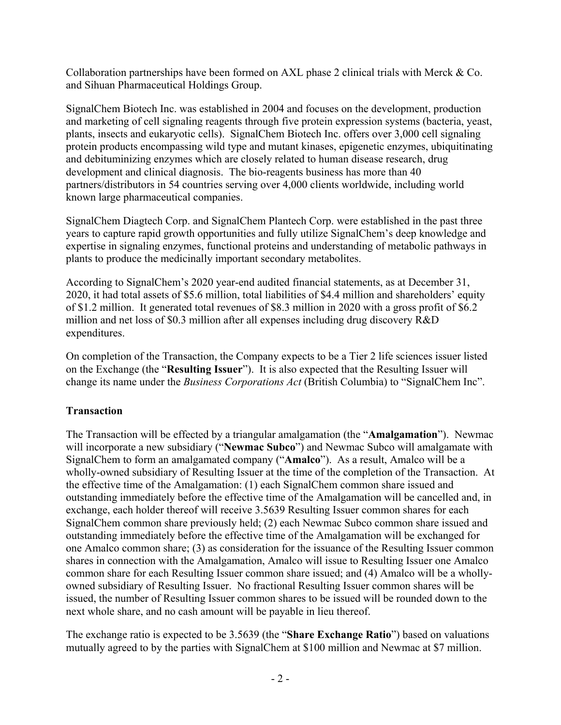Collaboration partnerships have been formed on AXL phase 2 clinical trials with Merck & Co. and Sihuan Pharmaceutical Holdings Group.

SignalChem Biotech Inc. was established in 2004 and focuses on the development, production and marketing of cell signaling reagents through five protein expression systems (bacteria, yeast, plants, insects and eukaryotic cells). SignalChem Biotech Inc. offers over 3,000 cell signaling protein products encompassing wild type and mutant kinases, epigenetic enzymes, ubiquitinating and debituminizing enzymes which are closely related to human disease research, drug development and clinical diagnosis. The bio-reagents business has more than 40 partners/distributors in 54 countries serving over 4,000 clients worldwide, including world known large pharmaceutical companies.

SignalChem Diagtech Corp. and SignalChem Plantech Corp. were established in the past three years to capture rapid growth opportunities and fully utilize SignalChem's deep knowledge and expertise in signaling enzymes, functional proteins and understanding of metabolic pathways in plants to produce the medicinally important secondary metabolites.

According to SignalChem's 2020 year-end audited financial statements, as at December 31, 2020, it had total assets of \$5.6 million, total liabilities of \$4.4 million and shareholders' equity of \$1.2 million. It generated total revenues of \$8.3 million in 2020 with a gross profit of \$6.2 million and net loss of \$0.3 million after all expenses including drug discovery R&D expenditures.

On completion of the Transaction, the Company expects to be a Tier 2 life sciences issuer listed on the Exchange (the "**Resulting Issuer**"). It is also expected that the Resulting Issuer will change its name under the *Business Corporations Act* (British Columbia) to "SignalChem Inc".

### **Transaction**

The Transaction will be effected by a triangular amalgamation (the "**Amalgamation**"). Newmac will incorporate a new subsidiary ("**Newmac Subco**") and Newmac Subco will amalgamate with SignalChem to form an amalgamated company ("**Amalco**"). As a result, Amalco will be a wholly-owned subsidiary of Resulting Issuer at the time of the completion of the Transaction. At the effective time of the Amalgamation: (1) each SignalChem common share issued and outstanding immediately before the effective time of the Amalgamation will be cancelled and, in exchange, each holder thereof will receive 3.5639 Resulting Issuer common shares for each SignalChem common share previously held; (2) each Newmac Subco common share issued and outstanding immediately before the effective time of the Amalgamation will be exchanged for one Amalco common share; (3) as consideration for the issuance of the Resulting Issuer common shares in connection with the Amalgamation, Amalco will issue to Resulting Issuer one Amalco common share for each Resulting Issuer common share issued; and (4) Amalco will be a whollyowned subsidiary of Resulting Issuer. No fractional Resulting Issuer common shares will be issued, the number of Resulting Issuer common shares to be issued will be rounded down to the next whole share, and no cash amount will be payable in lieu thereof.

The exchange ratio is expected to be 3.5639 (the "**Share Exchange Ratio**") based on valuations mutually agreed to by the parties with SignalChem at \$100 million and Newmac at \$7 million.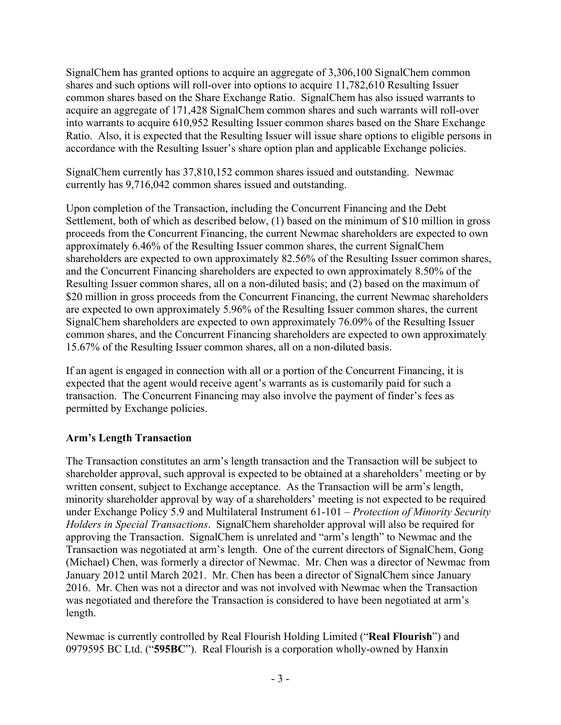SignalChem has granted options to acquire an aggregate of 3,306,100 SignalChem common shares and such options will roll-over into options to acquire 11,782,610 Resulting Issuer common shares based on the Share Exchange Ratio. SignalChem has also issued warrants to acquire an aggregate of 171,428 SignalChem common shares and such warrants will roll-over into warrants to acquire 610,952 Resulting Issuer common shares based on the Share Exchange Ratio. Also, it is expected that the Resulting Issuer will issue share options to eligible persons in accordance with the Resulting Issuer's share option plan and applicable Exchange policies.

SignalChem currently has 37,810,152 common shares issued and outstanding. Newmac currently has 9,716,042 common shares issued and outstanding.

Upon completion of the Transaction, including the Concurrent Financing and the Debt Settlement, both of which as described below, (1) based on the minimum of \$10 million in gross proceeds from the Concurrent Financing, the current Newmac shareholders are expected to own approximately 6.46% of the Resulting Issuer common shares, the current SignalChem shareholders are expected to own approximately 82.56% of the Resulting Issuer common shares, and the Concurrent Financing shareholders are expected to own approximately 8.50% of the Resulting Issuer common shares, all on a non-diluted basis; and (2) based on the maximum of \$20 million in gross proceeds from the Concurrent Financing, the current Newmac shareholders are expected to own approximately 5.96% of the Resulting Issuer common shares, the current SignalChem shareholders are expected to own approximately 76.09% of the Resulting Issuer common shares, and the Concurrent Financing shareholders are expected to own approximately 15.67% of the Resulting Issuer common shares, all on a non-diluted basis.

If an agent is engaged in connection with all or a portion of the Concurrent Financing, it is expected that the agent would receive agent's warrants as is customarily paid for such a transaction. The Concurrent Financing may also involve the payment of finder's fees as permitted by Exchange policies.

# **Arm's Length Transaction**

The Transaction constitutes an arm's length transaction and the Transaction will be subject to shareholder approval, such approval is expected to be obtained at a shareholders' meeting or by written consent, subject to Exchange acceptance. As the Transaction will be arm's length, minority shareholder approval by way of a shareholders' meeting is not expected to be required under Exchange Policy 5.9 and Multilateral Instrument 61-101 – *Protection of Minority Security Holders in Special Transactions*. SignalChem shareholder approval will also be required for approving the Transaction. SignalChem is unrelated and "arm's length" to Newmac and the Transaction was negotiated at arm's length. One of the current directors of SignalChem, Gong (Michael) Chen, was formerly a director of Newmac. Mr. Chen was a director of Newmac from January 2012 until March 2021. Mr. Chen has been a director of SignalChem since January 2016. Mr. Chen was not a director and was not involved with Newmac when the Transaction was negotiated and therefore the Transaction is considered to have been negotiated at arm's length.

Newmac is currently controlled by Real Flourish Holding Limited ("**Real Flourish**") and 0979595 BC Ltd. ("**595BC**"). Real Flourish is a corporation wholly-owned by Hanxin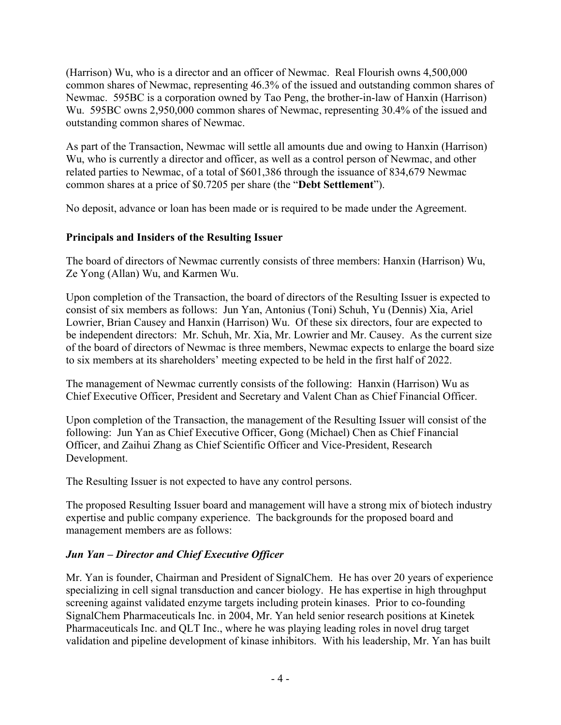(Harrison) Wu, who is a director and an officer of Newmac. Real Flourish owns 4,500,000 common shares of Newmac, representing 46.3% of the issued and outstanding common shares of Newmac. 595BC is a corporation owned by Tao Peng, the brother-in-law of Hanxin (Harrison) Wu. 595BC owns 2,950,000 common shares of Newmac, representing 30.4% of the issued and outstanding common shares of Newmac.

As part of the Transaction, Newmac will settle all amounts due and owing to Hanxin (Harrison) Wu, who is currently a director and officer, as well as a control person of Newmac, and other related parties to Newmac, of a total of \$601,386 through the issuance of 834,679 Newmac common shares at a price of \$0.7205 per share (the "**Debt Settlement**").

No deposit, advance or loan has been made or is required to be made under the Agreement.

# **Principals and Insiders of the Resulting Issuer**

The board of directors of Newmac currently consists of three members: Hanxin (Harrison) Wu, Ze Yong (Allan) Wu, and Karmen Wu.

Upon completion of the Transaction, the board of directors of the Resulting Issuer is expected to consist of six members as follows: Jun Yan, Antonius (Toni) Schuh, Yu (Dennis) Xia, Ariel Lowrier, Brian Causey and Hanxin (Harrison) Wu. Of these six directors, four are expected to be independent directors: Mr. Schuh, Mr. Xia, Mr. Lowrier and Mr. Causey. As the current size of the board of directors of Newmac is three members, Newmac expects to enlarge the board size to six members at its shareholders' meeting expected to be held in the first half of 2022.

The management of Newmac currently consists of the following: Hanxin (Harrison) Wu as Chief Executive Officer, President and Secretary and Valent Chan as Chief Financial Officer.

Upon completion of the Transaction, the management of the Resulting Issuer will consist of the following: Jun Yan as Chief Executive Officer, Gong (Michael) Chen as Chief Financial Officer, and Zaihui Zhang as Chief Scientific Officer and Vice-President, Research Development.

The Resulting Issuer is not expected to have any control persons.

The proposed Resulting Issuer board and management will have a strong mix of biotech industry expertise and public company experience. The backgrounds for the proposed board and management members are as follows:

# *Jun Yan – Director and Chief Executive Officer*

Mr. Yan is founder, Chairman and President of SignalChem. He has over 20 years of experience specializing in cell signal transduction and cancer biology. He has expertise in high throughput screening against validated enzyme targets including protein kinases. Prior to co-founding SignalChem Pharmaceuticals Inc. in 2004, Mr. Yan held senior research positions at Kinetek Pharmaceuticals Inc. and QLT Inc., where he was playing leading roles in novel drug target validation and pipeline development of kinase inhibitors. With his leadership, Mr. Yan has built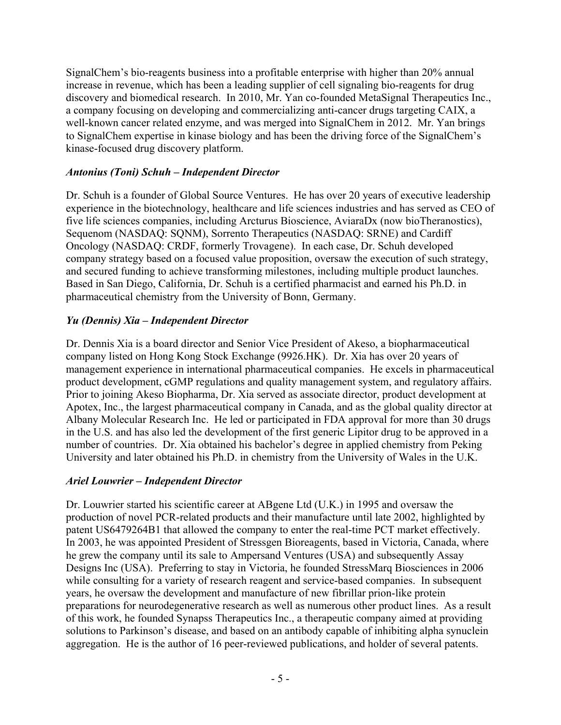SignalChem's bio-reagents business into a profitable enterprise with higher than 20% annual increase in revenue, which has been a leading supplier of cell signaling bio-reagents for drug discovery and biomedical research. In 2010, Mr. Yan co-founded MetaSignal Therapeutics Inc., a company focusing on developing and commercializing anti-cancer drugs targeting CAIX, a well-known cancer related enzyme, and was merged into SignalChem in 2012. Mr. Yan brings to SignalChem expertise in kinase biology and has been the driving force of the SignalChem's kinase-focused drug discovery platform.

## *Antonius (Toni) Schuh – Independent Director*

Dr. Schuh is a founder of Global Source Ventures. He has over 20 years of executive leadership experience in the biotechnology, healthcare and life sciences industries and has served as CEO of five life sciences companies, including Arcturus Bioscience, AviaraDx (now bioTheranostics), Sequenom (NASDAQ: SQNM), Sorrento Therapeutics (NASDAQ: SRNE) and Cardiff Oncology (NASDAQ: CRDF, formerly Trovagene). In each case, Dr. Schuh developed company strategy based on a focused value proposition, oversaw the execution of such strategy, and secured funding to achieve transforming milestones, including multiple product launches. Based in San Diego, California, Dr. Schuh is a certified pharmacist and earned his Ph.D. in pharmaceutical chemistry from the University of Bonn, Germany.

# *Yu (Dennis) Xia – Independent Director*

Dr. Dennis Xia is a board director and Senior Vice President of Akeso, a biopharmaceutical company listed on Hong Kong Stock Exchange (9926.HK). Dr. Xia has over 20 years of management experience in international pharmaceutical companies. He excels in pharmaceutical product development, cGMP regulations and quality management system, and regulatory affairs. Prior to joining Akeso Biopharma, Dr. Xia served as associate director, product development at Apotex, Inc., the largest pharmaceutical company in Canada, and as the global quality director at Albany Molecular Research Inc. He led or participated in FDA approval for more than 30 drugs in the U.S. and has also led the development of the first generic Lipitor drug to be approved in a number of countries. Dr. Xia obtained his bachelor's degree in applied chemistry from Peking University and later obtained his Ph.D. in chemistry from the University of Wales in the U.K.

### *Ariel Louwrier – Independent Director*

Dr. Louwrier started his scientific career at ABgene Ltd (U.K.) in 1995 and oversaw the production of novel PCR-related products and their manufacture until late 2002, highlighted by patent US6479264B1 that allowed the company to enter the real-time PCT market effectively. In 2003, he was appointed President of Stressgen Bioreagents, based in Victoria, Canada, where he grew the company until its sale to Ampersand Ventures (USA) and subsequently Assay Designs Inc (USA). Preferring to stay in Victoria, he founded StressMarq Biosciences in 2006 while consulting for a variety of research reagent and service-based companies. In subsequent years, he oversaw the development and manufacture of new fibrillar prion-like protein preparations for neurodegenerative research as well as numerous other product lines. As a result of this work, he founded Synapss Therapeutics Inc., a therapeutic company aimed at providing solutions to Parkinson's disease, and based on an antibody capable of inhibiting alpha synuclein aggregation. He is the author of 16 peer-reviewed publications, and holder of several patents.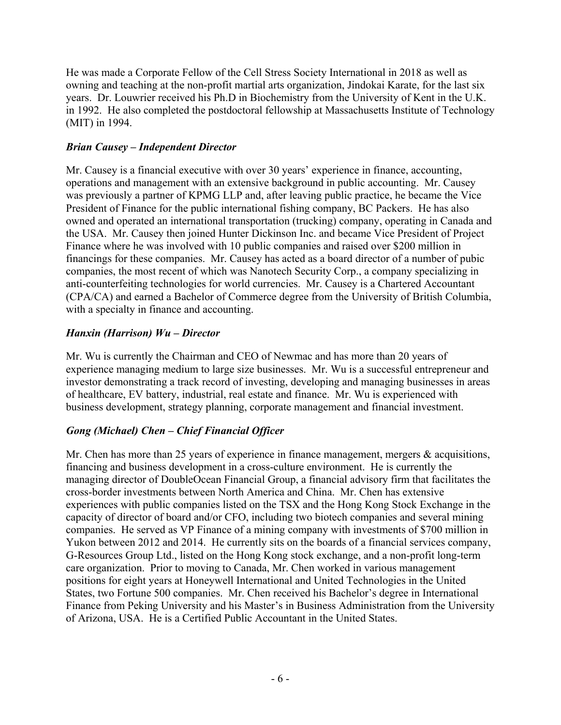He was made a Corporate Fellow of the Cell Stress Society International in 2018 as well as owning and teaching at the non-profit martial arts organization, Jindokai Karate, for the last six years. Dr. Louwrier received his Ph.D in Biochemistry from the University of Kent in the U.K. in 1992. He also completed the postdoctoral fellowship at Massachusetts Institute of Technology (MIT) in 1994.

## *Brian Causey – Independent Director*

Mr. Causey is a financial executive with over 30 years' experience in finance, accounting, operations and management with an extensive background in public accounting. Mr. Causey was previously a partner of KPMG LLP and, after leaving public practice, he became the Vice President of Finance for the public international fishing company, BC Packers. He has also owned and operated an international transportation (trucking) company, operating in Canada and the USA. Mr. Causey then joined Hunter Dickinson Inc. and became Vice President of Project Finance where he was involved with 10 public companies and raised over \$200 million in financings for these companies. Mr. Causey has acted as a board director of a number of pubic companies, the most recent of which was Nanotech Security Corp., a company specializing in anti-counterfeiting technologies for world currencies. Mr. Causey is a Chartered Accountant (CPA/CA) and earned a Bachelor of Commerce degree from the University of British Columbia, with a specialty in finance and accounting.

# *Hanxin (Harrison) Wu – Director*

Mr. Wu is currently the Chairman and CEO of Newmac and has more than 20 years of experience managing medium to large size businesses. Mr. Wu is a successful entrepreneur and investor demonstrating a track record of investing, developing and managing businesses in areas of healthcare, EV battery, industrial, real estate and finance. Mr. Wu is experienced with business development, strategy planning, corporate management and financial investment.

# *Gong (Michael) Chen – Chief Financial Officer*

Mr. Chen has more than 25 years of experience in finance management, mergers & acquisitions, financing and business development in a cross-culture environment. He is currently the managing director of DoubleOcean Financial Group, a financial advisory firm that facilitates the cross-border investments between North America and China. Mr. Chen has extensive experiences with public companies listed on the TSX and the Hong Kong Stock Exchange in the capacity of director of board and/or CFO, including two biotech companies and several mining companies. He served as VP Finance of a mining company with investments of \$700 million in Yukon between 2012 and 2014. He currently sits on the boards of a financial services company, G-Resources Group Ltd., listed on the Hong Kong stock exchange, and a non-profit long-term care organization. Prior to moving to Canada, Mr. Chen worked in various management positions for eight years at Honeywell International and United Technologies in the United States, two Fortune 500 companies. Mr. Chen received his Bachelor's degree in International Finance from Peking University and his Master's in Business Administration from the University of Arizona, USA. He is a Certified Public Accountant in the United States.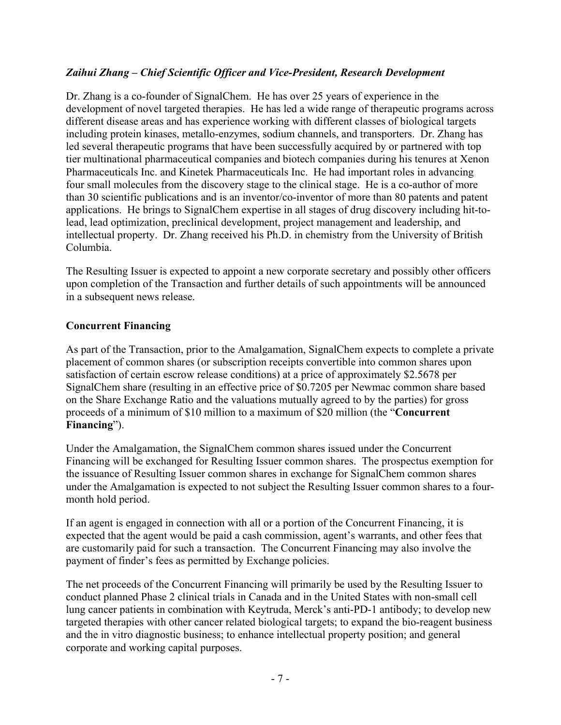## *Zaihui Zhang – Chief Scientific Officer and Vice-President, Research Development*

Dr. Zhang is a co-founder of SignalChem. He has over 25 years of experience in the development of novel targeted therapies. He has led a wide range of therapeutic programs across different disease areas and has experience working with different classes of biological targets including protein kinases, metallo-enzymes, sodium channels, and transporters. Dr. Zhang has led several therapeutic programs that have been successfully acquired by or partnered with top tier multinational pharmaceutical companies and biotech companies during his tenures at Xenon Pharmaceuticals Inc. and Kinetek Pharmaceuticals Inc. He had important roles in advancing four small molecules from the discovery stage to the clinical stage. He is a co-author of more than 30 scientific publications and is an inventor/co-inventor of more than 80 patents and patent applications. He brings to SignalChem expertise in all stages of drug discovery including hit-tolead, lead optimization, preclinical development, project management and leadership, and intellectual property. Dr. Zhang received his Ph.D. in chemistry from the University of British Columbia.

The Resulting Issuer is expected to appoint a new corporate secretary and possibly other officers upon completion of the Transaction and further details of such appointments will be announced in a subsequent news release.

### **Concurrent Financing**

As part of the Transaction, prior to the Amalgamation, SignalChem expects to complete a private placement of common shares (or subscription receipts convertible into common shares upon satisfaction of certain escrow release conditions) at a price of approximately \$2.5678 per SignalChem share (resulting in an effective price of \$0.7205 per Newmac common share based on the Share Exchange Ratio and the valuations mutually agreed to by the parties) for gross proceeds of a minimum of \$10 million to a maximum of \$20 million (the "**Concurrent Financing**").

Under the Amalgamation, the SignalChem common shares issued under the Concurrent Financing will be exchanged for Resulting Issuer common shares. The prospectus exemption for the issuance of Resulting Issuer common shares in exchange for SignalChem common shares under the Amalgamation is expected to not subject the Resulting Issuer common shares to a fourmonth hold period.

If an agent is engaged in connection with all or a portion of the Concurrent Financing, it is expected that the agent would be paid a cash commission, agent's warrants, and other fees that are customarily paid for such a transaction. The Concurrent Financing may also involve the payment of finder's fees as permitted by Exchange policies.

The net proceeds of the Concurrent Financing will primarily be used by the Resulting Issuer to conduct planned Phase 2 clinical trials in Canada and in the United States with non-small cell lung cancer patients in combination with Keytruda, Merck's anti-PD-1 antibody; to develop new targeted therapies with other cancer related biological targets; to expand the bio-reagent business and the in vitro diagnostic business; to enhance intellectual property position; and general corporate and working capital purposes.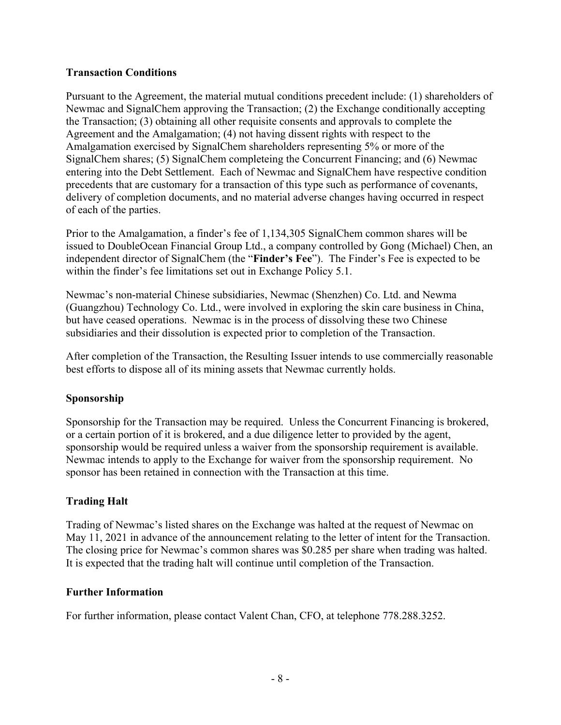## **Transaction Conditions**

Pursuant to the Agreement, the material mutual conditions precedent include: (1) shareholders of Newmac and SignalChem approving the Transaction; (2) the Exchange conditionally accepting the Transaction; (3) obtaining all other requisite consents and approvals to complete the Agreement and the Amalgamation; (4) not having dissent rights with respect to the Amalgamation exercised by SignalChem shareholders representing 5% or more of the SignalChem shares; (5) SignalChem completeing the Concurrent Financing; and (6) Newmac entering into the Debt Settlement. Each of Newmac and SignalChem have respective condition precedents that are customary for a transaction of this type such as performance of covenants, delivery of completion documents, and no material adverse changes having occurred in respect of each of the parties.

Prior to the Amalgamation, a finder's fee of 1,134,305 SignalChem common shares will be issued to DoubleOcean Financial Group Ltd., a company controlled by Gong (Michael) Chen, an independent director of SignalChem (the "**Finder's Fee**"). The Finder's Fee is expected to be within the finder's fee limitations set out in Exchange Policy 5.1.

Newmac's non-material Chinese subsidiaries, Newmac (Shenzhen) Co. Ltd. and Newma (Guangzhou) Technology Co. Ltd., were involved in exploring the skin care business in China, but have ceased operations. Newmac is in the process of dissolving these two Chinese subsidiaries and their dissolution is expected prior to completion of the Transaction.

After completion of the Transaction, the Resulting Issuer intends to use commercially reasonable best efforts to dispose all of its mining assets that Newmac currently holds.

# **Sponsorship**

Sponsorship for the Transaction may be required. Unless the Concurrent Financing is brokered, or a certain portion of it is brokered, and a due diligence letter to provided by the agent, sponsorship would be required unless a waiver from the sponsorship requirement is available. Newmac intends to apply to the Exchange for waiver from the sponsorship requirement. No sponsor has been retained in connection with the Transaction at this time.

# **Trading Halt**

Trading of Newmac's listed shares on the Exchange was halted at the request of Newmac on May 11, 2021 in advance of the announcement relating to the letter of intent for the Transaction. The closing price for Newmac's common shares was \$0.285 per share when trading was halted. It is expected that the trading halt will continue until completion of the Transaction.

### **Further Information**

For further information, please contact Valent Chan, CFO, at telephone 778.288.3252.